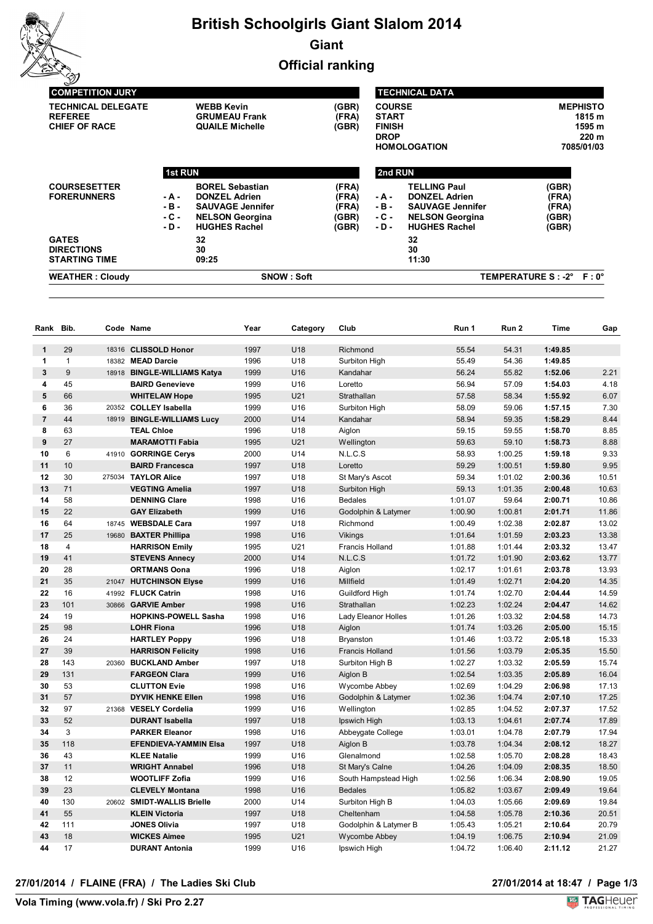

# **British Schoolgirls Giant Slalom 2014 Giant**

**Official ranking**

| <b>SNOW: Soft</b><br><b>WEATHER: Cloudy</b>                         |                                    |                                                                                                                             |                                           |                                                                          |                                                                                                                          | TEMPERATURE S : -2° F : 0°                |                                                            |  |  |
|---------------------------------------------------------------------|------------------------------------|-----------------------------------------------------------------------------------------------------------------------------|-------------------------------------------|--------------------------------------------------------------------------|--------------------------------------------------------------------------------------------------------------------------|-------------------------------------------|------------------------------------------------------------|--|--|
| <b>GATES</b><br><b>DIRECTIONS</b><br><b>STARTING TIME</b>           |                                    | 32<br>30<br>09:25                                                                                                           |                                           |                                                                          | 32<br>30<br>11:30                                                                                                        |                                           |                                                            |  |  |
| <b>COURSESETTER</b><br><b>FORERUNNERS</b>                           | - A -<br>$-B -$<br>$-C -$<br>- D - | <b>BOREL Sebastian</b><br><b>DONZEL Adrien</b><br><b>SAUVAGE Jennifer</b><br><b>NELSON Georgina</b><br><b>HUGHES Rachel</b> | (FRA)<br>(FRA)<br>(FRA)<br>(GBR)<br>(GBR) | - A -<br>$-B -$<br>$-C -$<br>- D -                                       | <b>TELLING Paul</b><br><b>DONZEL Adrien</b><br><b>SAUVAGE Jennifer</b><br><b>NELSON Georgina</b><br><b>HUGHES Rachel</b> | (GBR)<br>(FRA)<br>(FRA)<br>(GBR)<br>(GBR) |                                                            |  |  |
| <b>TECHNICAL DELEGATE</b><br><b>REFEREE</b><br><b>CHIEF OF RACE</b> |                                    | <b>WEBB Kevin</b><br>(GBR)<br><b>GRUMEAU Frank</b><br>(FRA)<br><b>QUAILE Michelle</b><br>(GBR)<br><b>1st RUN</b>            |                                           | <b>COURSE</b><br><b>START</b><br><b>FINISH</b><br><b>DROP</b><br>2nd RUN | <b>HOMOLOGATION</b>                                                                                                      |                                           | <b>MEPHISTO</b><br>1815 m<br>1595 m<br>220 m<br>7085/01/03 |  |  |
| <b>COMPETITION JURY</b>                                             |                                    |                                                                                                                             |                                           |                                                                          | <b>TECHNICAL DATA</b>                                                                                                    |                                           |                                                            |  |  |

| Rank           | Bib.           |       | Code Name                    | Year | Category | Club                   | Run 1   | Run 2   | <b>Time</b> | Gap   |
|----------------|----------------|-------|------------------------------|------|----------|------------------------|---------|---------|-------------|-------|
| $\mathbf{1}$   | 29             |       | 18316 CLISSOLD Honor         | 1997 | U18      | Richmond               | 55.54   | 54.31   | 1:49.85     |       |
| 1              | $\mathbf{1}$   |       | 18382 MEAD Darcie            | 1996 | U18      | Surbiton High          | 55.49   | 54.36   | 1:49.85     |       |
| 3              | 9              |       | 18918 BINGLE-WILLIAMS Katya  | 1999 | U16      | Kandahar               | 56.24   | 55.82   | 1:52.06     | 2.21  |
| 4              | 45             |       | <b>BAIRD Genevieve</b>       | 1999 | U16      | Loretto                | 56.94   | 57.09   | 1:54.03     | 4.18  |
| 5              | 66             |       | <b>WHITELAW Hope</b>         | 1995 | U21      | Strathallan            | 57.58   | 58.34   | 1:55.92     | 6.07  |
| 6              | 36             |       | 20352 COLLEY Isabella        | 1999 | U16      | Surbiton High          | 58.09   | 59.06   | 1:57.15     | 7.30  |
| $\overline{7}$ | 44             | 18919 | <b>BINGLE-WILLIAMS Lucy</b>  | 2000 | U14      | Kandahar               | 58.94   | 59.35   | 1:58.29     | 8.44  |
| 8              | 63             |       | <b>TEAL Chloe</b>            | 1996 | U18      | Aiglon                 | 59.15   | 59.55   | 1:58.70     | 8.85  |
| 9              | 27             |       | <b>MARAMOTTI Fabia</b>       | 1995 | U21      | Wellington             | 59.63   | 59.10   | 1:58.73     | 8.88  |
| 10             | 6              |       | 41910 GORRINGE Cerys         | 2000 | U14      | N.L.C.S                | 58.93   | 1:00.25 | 1:59.18     | 9.33  |
| 11             | 10             |       | <b>BAIRD Francesca</b>       | 1997 | U18      | Loretto                | 59.29   | 1:00.51 | 1:59.80     | 9.95  |
| 12             | 30             |       | 275034 TAYLOR Alice          | 1997 | U18      | St Mary's Ascot        | 59.34   | 1:01.02 | 2:00.36     | 10.51 |
| 13             | 71             |       | <b>VEGTING Amelia</b>        | 1997 | U18      | Surbiton High          | 59.13   | 1:01.35 | 2:00.48     | 10.63 |
| 14             | 58             |       | <b>DENNING Clare</b>         | 1998 | U16      | <b>Bedales</b>         | 1:01.07 | 59.64   | 2:00.71     | 10.86 |
| 15             | 22             |       | <b>GAY Elizabeth</b>         | 1999 | U16      | Godolphin & Latymer    | 1:00.90 | 1:00.81 | 2:01.71     | 11.86 |
| 16             | 64             |       | 18745 WEBSDALE Cara          | 1997 | U18      | Richmond               | 1:00.49 | 1:02.38 | 2:02.87     | 13.02 |
| 17             | 25             | 19680 | <b>BAXTER Phillipa</b>       | 1998 | U16      | Vikings                | 1:01.64 | 1:01.59 | 2:03.23     | 13.38 |
| 18             | $\overline{4}$ |       | <b>HARRISON Emily</b>        | 1995 | U21      | <b>Francis Holland</b> | 1:01.88 | 1:01.44 | 2:03.32     | 13.47 |
| 19             | 41             |       | <b>STEVENS Annecy</b>        | 2000 | U14      | N.L.C.S                | 1:01.72 | 1:01.90 | 2:03.62     | 13.77 |
| 20             | 28             |       | <b>ORTMANS Oona</b>          | 1996 | U18      | Aiglon                 | 1:02.17 | 1:01.61 | 2:03.78     | 13.93 |
| 21             | 35             |       | 21047 HUTCHINSON Elyse       | 1999 | U16      | Millfield              | 1:01.49 | 1:02.71 | 2:04.20     | 14.35 |
| 22             | 16             |       | 41992 FLUCK Catrin           | 1998 | U16      | Guildford High         | 1:01.74 | 1:02.70 | 2:04.44     | 14.59 |
| 23             | 101            | 30866 | <b>GARVIE Amber</b>          | 1998 | U16      | Strathallan            | 1:02.23 | 1:02.24 | 2:04.47     | 14.62 |
| 24             | 19             |       | <b>HOPKINS-POWELL Sasha</b>  | 1998 | U16      | Lady Eleanor Holles    | 1:01.26 | 1:03.32 | 2:04.58     | 14.73 |
| 25             | 98             |       | <b>LOHR Fiona</b>            | 1996 | U18      | Aiglon                 | 1:01.74 | 1:03.26 | 2:05.00     | 15.15 |
| 26             | 24             |       | <b>HARTLEY Poppy</b>         | 1996 | U18      | Bryanston              | 1:01.46 | 1:03.72 | 2:05.18     | 15.33 |
| 27             | 39             |       | <b>HARRISON Felicity</b>     | 1998 | U16      | Francis Holland        | 1:01.56 | 1:03.79 | 2:05.35     | 15.50 |
| 28             | 143            | 20360 | <b>BUCKLAND Amber</b>        | 1997 | U18      | Surbiton High B        | 1:02.27 | 1:03.32 | 2:05.59     | 15.74 |
| 29             | 131            |       | <b>FARGEON Clara</b>         | 1999 | U16      | Aiglon B               | 1:02.54 | 1:03.35 | 2:05.89     | 16.04 |
| 30             | 53             |       | <b>CLUTTON Evie</b>          | 1998 | U16      | Wycombe Abbey          | 1:02.69 | 1:04.29 | 2:06.98     | 17.13 |
| 31             | 57             |       | <b>DYVIK HENKE Ellen</b>     | 1998 | U16      | Godolphin & Latymer    | 1:02.36 | 1:04.74 | 2:07.10     | 17.25 |
| 32             | 97             |       | 21368 VESELY Cordelia        | 1999 | U16      | Wellington             | 1:02.85 | 1:04.52 | 2:07.37     | 17.52 |
| 33             | 52             |       | <b>DURANT Isabella</b>       | 1997 | U18      | Ipswich High           | 1:03.13 | 1:04.61 | 2:07.74     | 17.89 |
| 34             | 3              |       | <b>PARKER Eleanor</b>        | 1998 | U16      | Abbeygate College      | 1:03.01 | 1:04.78 | 2:07.79     | 17.94 |
| 35             | 118            |       | <b>EFENDIEVA-YAMMIN Elsa</b> | 1997 | U18      | Aiglon B               | 1:03.78 | 1:04.34 | 2:08.12     | 18.27 |
| 36             | 43             |       | <b>KLEE Natalie</b>          | 1999 | U16      | Glenalmond             | 1:02.58 | 1:05.70 | 2:08.28     | 18.43 |
| 37             | 11             |       | <b>WRIGHT Annabel</b>        | 1996 | U18      | St Mary's Calne        | 1:04.26 | 1:04.09 | 2:08.35     | 18.50 |
| 38             | 12             |       | <b>WOOTLIFF Zofia</b>        | 1999 | U16      | South Hampstead High   | 1:02.56 | 1:06.34 | 2:08.90     | 19.05 |
| 39             | 23             |       | <b>CLEVELY Montana</b>       | 1998 | U16      | <b>Bedales</b>         | 1:05.82 | 1:03.67 | 2:09.49     | 19.64 |
| 40             | 130            |       | 20602 SMIDT-WALLIS Brielle   | 2000 | U14      | Surbiton High B        | 1:04.03 | 1:05.66 | 2:09.69     | 19.84 |
| 41             | 55             |       | <b>KLEIN Victoria</b>        | 1997 | U18      | Cheltenham             | 1:04.58 | 1:05.78 | 2:10.36     | 20.51 |
| 42             | 111            |       | <b>JONES Olivia</b>          | 1997 | U18      | Godolphin & Latymer B  | 1:05.43 | 1:05.21 | 2:10.64     | 20.79 |
| 43             | 18             |       | <b>WICKES Aimee</b>          | 1995 | U21      | Wycombe Abbey          | 1:04.19 | 1:06.75 | 2:10.94     | 21.09 |
| 44             | 17             |       | <b>DURANT Antonia</b>        | 1999 | U16      | Ipswich High           | 1:04.72 | 1:06.40 | 2:11.12     | 21.27 |

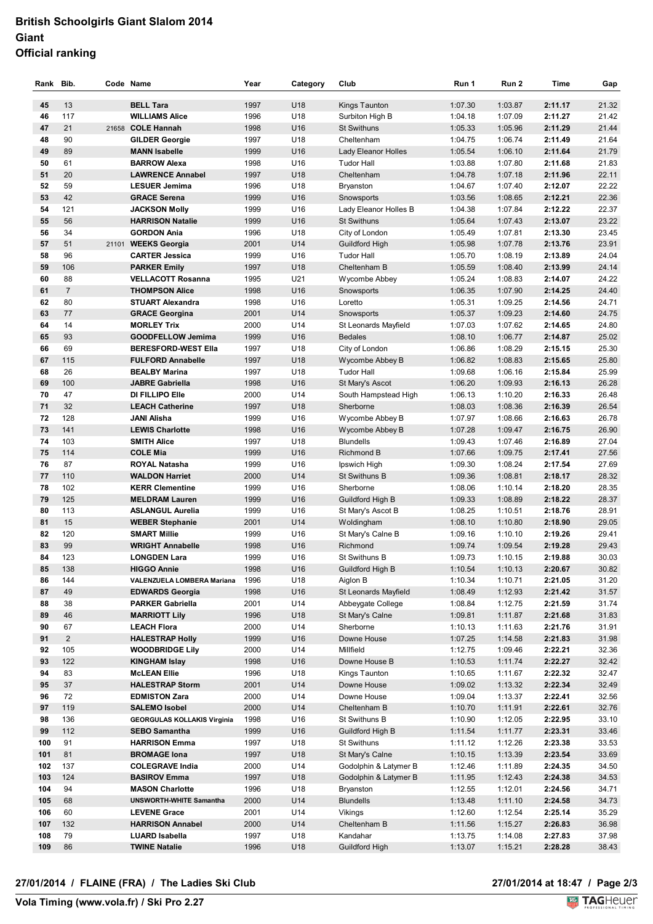## **British Schoolgirls Giant Slalom 2014 Giant Official ranking**

| Rank Bib. |                | Code Name                                  | Year         | Category   | Club                                    | Run 1              | Run 2              | Time               | Gap            |
|-----------|----------------|--------------------------------------------|--------------|------------|-----------------------------------------|--------------------|--------------------|--------------------|----------------|
| 45        | 13             | <b>BELL Tara</b>                           | 1997         | U18        | Kings Taunton                           | 1:07.30            | 1:03.87            | 2:11.17            | 21.32          |
| 46        | 117            | <b>WILLIAMS Alice</b>                      | 1996         | U18        | Surbiton High B                         | 1:04.18            | 1:07.09            | 2:11.27            | 21.42          |
| 47        | 21             | 21658 COLE Hannah                          | 1998         | U16        | <b>St Swithuns</b>                      | 1:05.33            | 1:05.96            | 2:11.29            | 21.44          |
| 48        | 90             | <b>GILDER Georgie</b>                      | 1997         | U18        | Cheltenham                              | 1:04.75            | 1:06.74            | 2:11.49            | 21.64          |
| 49        | 89             | <b>MANN Isabelle</b>                       | 1999         | U16        | <b>Lady Eleanor Holles</b>              | 1:05.54            | 1:06.10            | 2:11.64            | 21.79          |
| 50        | 61             | <b>BARROW Alexa</b>                        | 1998         | U16        | <b>Tudor Hall</b>                       | 1:03.88            | 1:07.80            | 2:11.68            | 21.83          |
| 51        | 20             | <b>LAWRENCE Annabel</b>                    | 1997         | U18        | Cheltenham                              | 1:04.78            | 1:07.18            | 2:11.96            | 22.11          |
| 52        | 59             | <b>LESUER Jemima</b>                       | 1996         | U18        | Bryanston                               | 1:04.67            | 1:07.40            | 2:12.07            | 22.22          |
| 53        | 42             | <b>GRACE Serena</b>                        | 1999         | U16        | Snowsports                              | 1:03.56            | 1:08.65            | 2:12.21            | 22.36          |
| 54        | 121            | <b>JACKSON Molly</b>                       | 1999         | U16        | Lady Eleanor Holles B                   | 1:04.38            | 1:07.84            | 2:12.22            | 22.37          |
| 55        | 56             | <b>HARRISON Natalie</b>                    | 1999         | U16        | <b>St Swithuns</b>                      | 1:05.64            | 1:07.43            | 2:13.07            | 23.22          |
| 56        | 34             | <b>GORDON Ania</b>                         | 1996         | U18        | City of London                          | 1:05.49            | 1:07.81            | 2:13.30            | 23.45          |
| 57        | 51             | 21101 WEEKS Georgia                        | 2001         | U14        | Guildford High                          | 1:05.98            | 1:07.78            | 2:13.76            | 23.91          |
| 58        | 96             | <b>CARTER Jessica</b>                      | 1999         | U16        | <b>Tudor Hall</b>                       | 1:05.70            | 1:08.19            | 2:13.89            | 24.04          |
| 59        | 106            | <b>PARKER Emily</b>                        | 1997         | U18        | Cheltenham B                            | 1:05.59            | 1:08.40            | 2:13.99            | 24.14          |
| 60        | 88             | <b>VELLACOTT Rosanna</b>                   | 1995         | U21        | Wycombe Abbey                           | 1:05.24            | 1:08.83            | 2:14.07            | 24.22          |
| 61        | $\sqrt{7}$     | <b>THOMPSON Alice</b>                      | 1998         | U16        | Snowsports                              | 1:06.35            | 1:07.90            | 2:14.25            | 24.40          |
| 62        | 80             | <b>STUART Alexandra</b>                    | 1998         | U16        | Loretto                                 | 1:05.31            | 1:09.25            | 2:14.56            | 24.71          |
| 63        | 77             | <b>GRACE Georgina</b>                      | 2001         | U14        | Snowsports                              | 1:05.37            | 1:09.23            | 2:14.60            | 24.75          |
| 64        | 14             | <b>MORLEY Trix</b>                         | 2000         | U14        | St Leonards Mayfield                    | 1:07.03            | 1:07.62            | 2:14.65            | 24.80          |
| 65        | 93             | <b>GOODFELLOW Jemima</b>                   | 1999         | U16        | <b>Bedales</b>                          | 1:08.10            | 1:06.77            | 2:14.87            | 25.02          |
| 66        | 69             | <b>BERESFORD-WEST Ella</b>                 | 1997         | U18        | City of London                          | 1:06.86            | 1:08.29            | 2:15.15            | 25.30          |
| 67        | 115            | <b>FULFORD Annabelle</b>                   | 1997         | U18        | Wycombe Abbey B                         | 1:06.82            | 1:08.83            | 2:15.65            | 25.80          |
| 68<br>69  | 26<br>100      | <b>BEALBY Marina</b>                       | 1997<br>1998 | U18        | <b>Tudor Hall</b>                       | 1:09.68            | 1:06.16<br>1:09.93 | 2:15.84            | 25.99<br>26.28 |
| 70        | 47             | <b>JABRE Gabriella</b><br>DI FILLIPO Elle  | 2000         | U16<br>U14 | St Mary's Ascot<br>South Hampstead High | 1:06.20<br>1:06.13 | 1:10.20            | 2:16.13<br>2:16.33 | 26.48          |
| 71        | 32             | <b>LEACH Catherine</b>                     | 1997         | U18        | Sherborne                               | 1:08.03            | 1:08.36            | 2:16.39            | 26.54          |
| 72        | 128            | <b>JANI Alisha</b>                         | 1999         | U16        | Wycombe Abbey B                         | 1:07.97            | 1:08.66            | 2:16.63            | 26.78          |
| 73        | 141            | <b>LEWIS Charlotte</b>                     | 1998         | U16        | Wycombe Abbey B                         | 1:07.28            | 1:09.47            | 2:16.75            | 26.90          |
| 74        | 103            | <b>SMITH Alice</b>                         | 1997         | U18        | <b>Blundells</b>                        | 1:09.43            | 1:07.46            | 2:16.89            | 27.04          |
| 75        | 114            | <b>COLE Mia</b>                            | 1999         | U16        | Richmond B                              | 1:07.66            | 1:09.75            | 2:17.41            | 27.56          |
| 76        | 87             | <b>ROYAL Natasha</b>                       | 1999         | U16        | Ipswich High                            | 1:09.30            | 1:08.24            | 2:17.54            | 27.69          |
| 77        | 110            | <b>WALDON Harriet</b>                      | 2000         | U14        | St Swithuns B                           | 1:09.36            | 1:08.81            | 2:18.17            | 28.32          |
| 78        | 102            | <b>KERR Clementine</b>                     | 1999         | U16        | Sherborne                               | 1:08.06            | 1:10.14            | 2:18.20            | 28.35          |
| 79        | 125            | <b>MELDRAM Lauren</b>                      | 1999         | U16        | Guildford High B                        | 1:09.33            | 1:08.89            | 2:18.22            | 28.37          |
| 80        | 113            | <b>ASLANGUL Aurelia</b>                    | 1999         | U16        | St Mary's Ascot B                       | 1:08.25            | 1:10.51            | 2:18.76            | 28.91          |
| 81        | 15             | <b>WEBER Stephanie</b>                     | 2001         | U14        | Woldingham                              | 1:08.10            | 1:10.80            | 2:18.90            | 29.05          |
| 82        | 120            | <b>SMART Millie</b>                        | 1999         | U16        | St Mary's Calne B                       | 1:09.16            | 1:10.10            | 2:19.26            | 29.41          |
| 83        | 99             | <b>WRIGHT Annabelle</b>                    | 1998         | U16        | Richmond                                | 1:09.74            | 1:09.54            | 2:19.28            | 29.43          |
| 84        | 123            | <b>LONGDEN Lara</b>                        | 1999         | U16        | St Swithuns B                           | 1:09.73            | 1:10.15            | 2:19.88            | 30.03          |
| 85        | 138            | <b>HIGGO Annie</b>                         | 1998         | U16        | Guildford High B                        | 1:10.54            | 1:10.13            | 2:20.67            | 30.82          |
| 86        | 144            | VALENZUELA LOMBERA Mariana                 | 1996         | U18        | Aiglon B                                | 1:10.34            | 1:10.71            | 2:21.05            | 31.20          |
| 87        | 49             | <b>EDWARDS Georgia</b>                     | 1998         | U16        | St Leonards Mayfield                    | 1:08.49            | 1:12.93            | 2:21.42            | 31.57          |
| 88<br>89  | 38<br>46       | <b>PARKER Gabriella</b>                    | 2001         | U14<br>U18 | Abbeygate College                       | 1:08.84<br>1:09.81 | 1:12.75            | 2:21.59<br>2:21.68 | 31.74<br>31.83 |
| 90        | 67             | <b>MARRIOTT Lily</b><br><b>LEACH Flora</b> | 1996<br>2000 | U14        | St Mary's Calne<br>Sherborne            | 1:10.13            | 1:11.87<br>1:11.63 | 2:21.76            | 31.91          |
| 91        | $\overline{c}$ | <b>HALESTRAP Holly</b>                     | 1999         | U16        | Downe House                             | 1:07.25            | 1:14.58            | 2:21.83            | 31.98          |
| 92        | 105            | <b>WOODBRIDGE Lily</b>                     | 2000         | U14        | Millfield                               | 1:12.75            | 1:09.46            | 2:22.21            | 32.36          |
| 93        | 122            | <b>KINGHAM Islay</b>                       | 1998         | U16        | Downe House B                           | 1:10.53            | 1:11.74            | 2:22.27            | 32.42          |
| 94        | 83             | <b>McLEAN Ellie</b>                        | 1996         | U18        | Kings Taunton                           | 1:10.65            | 1:11.67            | 2:22.32            | 32.47          |
| 95        | 37             | <b>HALESTRAP Storm</b>                     | 2001         | U14        | Downe House                             | 1:09.02            | 1:13.32            | 2:22.34            | 32.49          |
| 96        | 72             | <b>EDMISTON Zara</b>                       | 2000         | U14        | Downe House                             | 1:09.04            | 1:13.37            | 2:22.41            | 32.56          |
| 97        | 119            | <b>SALEMO Isobel</b>                       | 2000         | U14        | Cheltenham B                            | 1:10.70            | 1:11.91            | 2:22.61            | 32.76          |
| 98        | 136            | <b>GEORGULAS KOLLAKIS Virginia</b>         | 1998         | U16        | St Swithuns B                           | 1:10.90            | 1:12.05            | 2:22.95            | 33.10          |
| 99        | 112            | <b>SEBO Samantha</b>                       | 1999         | U16        | Guildford High B                        | 1:11.54            | 1:11.77            | 2:23.31            | 33.46          |
| 100       | 91             | <b>HARRISON Emma</b>                       | 1997         | U18        | St Swithuns                             | 1:11.12            | 1:12.26            | 2:23.38            | 33.53          |
| 101       | 81             | <b>BROMAGE lona</b>                        | 1997         | U18        | St Mary's Calne                         | 1:10.15            | 1:13.39            | 2:23.54            | 33.69          |
| 102       | 137            | <b>COLEGRAVE India</b>                     | 2000         | U14        | Godolphin & Latymer B                   | 1:12.46            | 1:11.89            | 2:24.35            | 34.50          |
| 103       | 124            | <b>BASIROV Emma</b>                        | 1997         | U18        | Godolphin & Latymer B                   | 1:11.95            | 1:12.43            | 2:24.38            | 34.53          |
| 104       | 94             | <b>MASON Charlotte</b>                     | 1996         | U18        | Bryanston                               | 1:12.55            | 1:12.01            | 2:24.56            | 34.71          |
| 105       | 68             | <b>UNSWORTH-WHITE Samantha</b>             | 2000         | U14        | <b>Blundells</b>                        | 1:13.48            | 1:11.10            | 2:24.58            | 34.73          |
| 106       | 60             | <b>LEVENE Grace</b>                        | 2001         | U14        | Vikings                                 | 1:12.60            | 1:12.54            | 2:25.14            | 35.29          |
| 107       | 132            | <b>HARRISON Annabel</b>                    | 2000         | U14        | Cheltenham B                            | 1:11.56            | 1:15.27            | 2:26.83            | 36.98          |
| 108       | 79             | <b>LUARD Isabella</b>                      | 1997         | U18        | Kandahar                                | 1:13.75            | 1:14.08            | 2:27.83            | 37.98          |
| 109       | 86             | <b>TWINE Natalie</b>                       | 1996         | U18        | Guildford High                          | 1:13.07            | 1:15.21            | 2:28.28            | 38.43          |